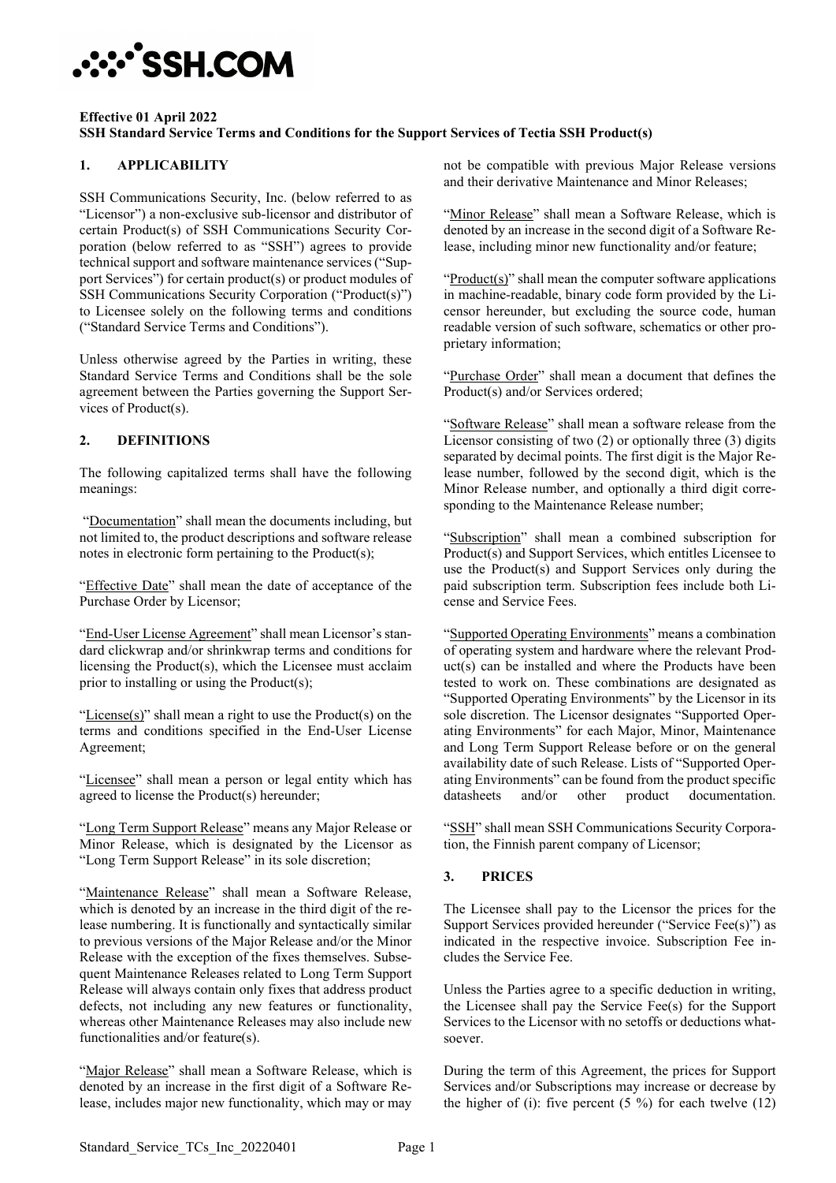# **:::\*SSH.COM**

#### **Effective 01 April 2022 SSH Standard Service Terms and Conditions for the Support Services of Tectia SSH Product(s)**

# **1. APPLICABILITY**

SSH Communications Security, Inc. (below referred to as "Licensor") a non-exclusive sub-licensor and distributor of certain Product(s) of SSH Communications Security Corporation (below referred to as "SSH") agrees to provide technical support and software maintenance services ("Support Services") for certain product(s) or product modules of SSH Communications Security Corporation ("Product(s)") to Licensee solely on the following terms and conditions ("Standard Service Terms and Conditions").

Unless otherwise agreed by the Parties in writing, these Standard Service Terms and Conditions shall be the sole agreement between the Parties governing the Support Services of Product(s).

# **2. DEFINITIONS**

The following capitalized terms shall have the following meanings:

"Documentation" shall mean the documents including, but not limited to, the product descriptions and software release notes in electronic form pertaining to the Product(s);

"Effective Date" shall mean the date of acceptance of the Purchase Order by Licensor;

"End-User License Agreement" shall mean Licensor's standard clickwrap and/or shrinkwrap terms and conditions for licensing the Product(s), which the Licensee must acclaim prior to installing or using the Product(s);

" $License(s)$ " shall mean a right to use the Product(s) on the terms and conditions specified in the End-User License Agreement;

"Licensee" shall mean a person or legal entity which has agreed to license the Product(s) hereunder;

"Long Term Support Release" means any Major Release or Minor Release, which is designated by the Licensor as "Long Term Support Release" in its sole discretion;

"Maintenance Release" shall mean a Software Release, which is denoted by an increase in the third digit of the release numbering. It is functionally and syntactically similar to previous versions of the Major Release and/or the Minor Release with the exception of the fixes themselves. Subsequent Maintenance Releases related to Long Term Support Release will always contain only fixes that address product defects, not including any new features or functionality, whereas other Maintenance Releases may also include new functionalities and/or feature(s).

"Major Release" shall mean a Software Release, which is denoted by an increase in the first digit of a Software Release, includes major new functionality, which may or may

not be compatible with previous Major Release versions and their derivative Maintenance and Minor Releases;

"Minor Release" shall mean a Software Release, which is denoted by an increase in the second digit of a Software Release, including minor new functionality and/or feature;

" $Product(s)$ " shall mean the computer software applications" in machine-readable, binary code form provided by the Licensor hereunder, but excluding the source code, human readable version of such software, schematics or other proprietary information;

"Purchase Order" shall mean a document that defines the Product(s) and/or Services ordered;

"Software Release" shall mean a software release from the Licensor consisting of two (2) or optionally three (3) digits separated by decimal points. The first digit is the Major Release number, followed by the second digit, which is the Minor Release number, and optionally a third digit corresponding to the Maintenance Release number;

"Subscription" shall mean a combined subscription for Product(s) and Support Services, which entitles Licensee to use the Product(s) and Support Services only during the paid subscription term. Subscription fees include both License and Service Fees.

"Supported Operating Environments" means a combination of operating system and hardware where the relevant Product(s) can be installed and where the Products have been tested to work on. These combinations are designated as "Supported Operating Environments" by the Licensor in its sole discretion. The Licensor designates "Supported Operating Environments" for each Major, Minor, Maintenance and Long Term Support Release before or on the general availability date of such Release. Lists of "Supported Operating Environments" can be found from the product specific datasheets and/or other product documentation.

"SSH" shall mean SSH Communications Security Corporation, the Finnish parent company of Licensor;

# **3. PRICES**

The Licensee shall pay to the Licensor the prices for the Support Services provided hereunder ("Service Fee(s)") as indicated in the respective invoice. Subscription Fee includes the Service Fee.

Unless the Parties agree to a specific deduction in writing, the Licensee shall pay the Service Fee(s) for the Support Services to the Licensor with no setoffs or deductions whatsoever.

During the term of this Agreement, the prices for Support Services and/or Subscriptions may increase or decrease by the higher of (i): five percent  $(5 \%)$  for each twelve  $(12)$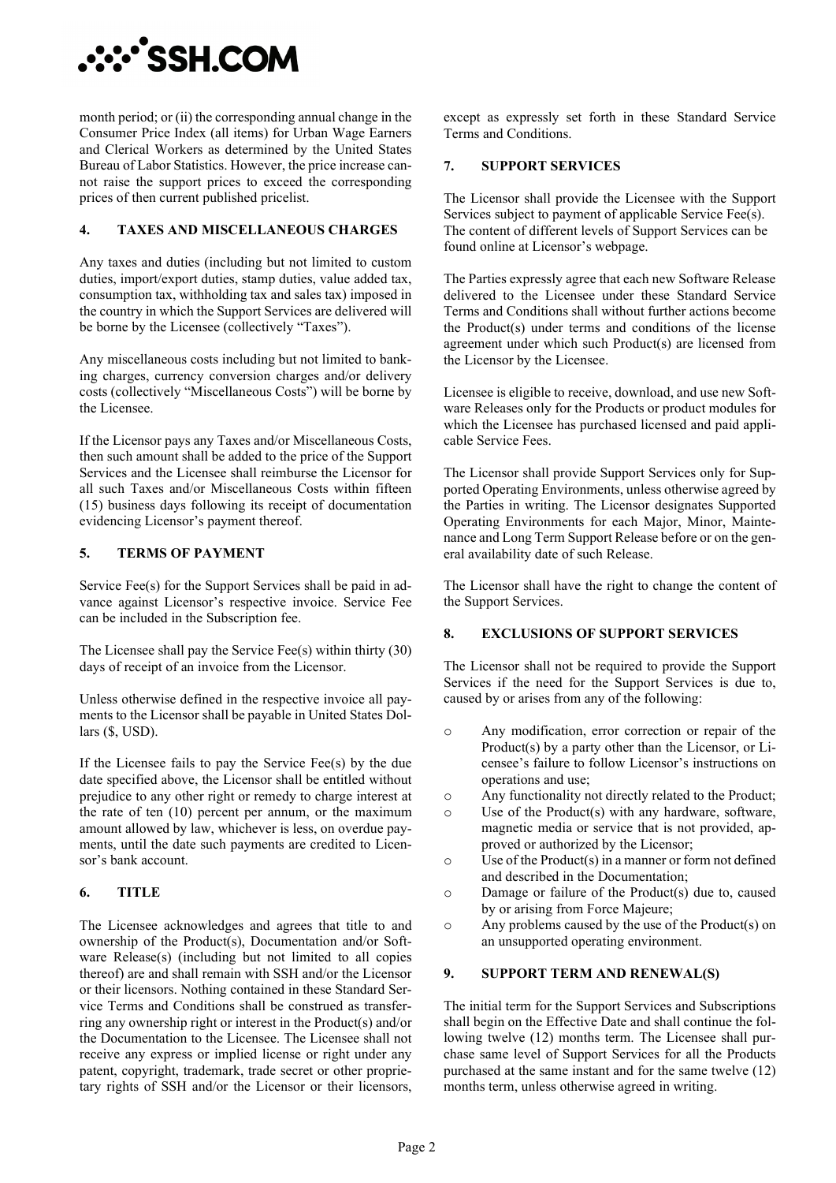

month period; or (ii) the corresponding annual change in the Consumer Price Index (all items) for Urban Wage Earners and Clerical Workers as determined by the United States Bureau of Labor Statistics. However, the price increase cannot raise the support prices to exceed the corresponding prices of then current published pricelist.

### **4. TAXES AND MISCELLANEOUS CHARGES**

Any taxes and duties (including but not limited to custom duties, import/export duties, stamp duties, value added tax, consumption tax, withholding tax and sales tax) imposed in the country in which the Support Services are delivered will be borne by the Licensee (collectively "Taxes").

Any miscellaneous costs including but not limited to banking charges, currency conversion charges and/or delivery costs (collectively "Miscellaneous Costs") will be borne by the Licensee.

If the Licensor pays any Taxes and/or Miscellaneous Costs, then such amount shall be added to the price of the Support Services and the Licensee shall reimburse the Licensor for all such Taxes and/or Miscellaneous Costs within fifteen (15) business days following its receipt of documentation evidencing Licensor's payment thereof.

## **5. TERMS OF PAYMENT**

Service Fee(s) for the Support Services shall be paid in advance against Licensor's respective invoice. Service Fee can be included in the Subscription fee.

The Licensee shall pay the Service Fee(s) within thirty (30) days of receipt of an invoice from the Licensor.

Unless otherwise defined in the respective invoice all payments to the Licensor shall be payable in United States Dollars (\$, USD).

If the Licensee fails to pay the Service Fee(s) by the due date specified above, the Licensor shall be entitled without prejudice to any other right or remedy to charge interest at the rate of ten (10) percent per annum, or the maximum amount allowed by law, whichever is less, on overdue payments, until the date such payments are credited to Licensor's bank account.

#### **6. TITLE**

The Licensee acknowledges and agrees that title to and ownership of the Product(s), Documentation and/or Software Release(s) (including but not limited to all copies thereof) are and shall remain with SSH and/or the Licensor or their licensors. Nothing contained in these Standard Service Terms and Conditions shall be construed as transferring any ownership right or interest in the Product(s) and/or the Documentation to the Licensee. The Licensee shall not receive any express or implied license or right under any patent, copyright, trademark, trade secret or other proprietary rights of SSH and/or the Licensor or their licensors, except as expressly set forth in these Standard Service Terms and Conditions.

## **7. SUPPORT SERVICES**

The Licensor shall provide the Licensee with the Support Services subject to payment of applicable Service Fee(s). The content of different levels of Support Services can be found online at Licensor's webpage.

The Parties expressly agree that each new Software Release delivered to the Licensee under these Standard Service Terms and Conditions shall without further actions become the Product(s) under terms and conditions of the license agreement under which such Product(s) are licensed from the Licensor by the Licensee.

Licensee is eligible to receive, download, and use new Software Releases only for the Products or product modules for which the Licensee has purchased licensed and paid applicable Service Fees.

The Licensor shall provide Support Services only for Supported Operating Environments, unless otherwise agreed by the Parties in writing. The Licensor designates Supported Operating Environments for each Major, Minor, Maintenance and Long Term Support Release before or on the general availability date of such Release.

The Licensor shall have the right to change the content of the Support Services.

#### **8. EXCLUSIONS OF SUPPORT SERVICES**

The Licensor shall not be required to provide the Support Services if the need for the Support Services is due to, caused by or arises from any of the following:

- o Any modification, error correction or repair of the Product(s) by a party other than the Licensor, or Licensee's failure to follow Licensor's instructions on operations and use;
- $\circ$  Any functionality not directly related to the Product;<br> $\circ$  Use of the Product(s) with any hardware, software.
- Use of the Product $(s)$  with any hardware, software, magnetic media or service that is not provided, approved or authorized by the Licensor;
- o Use of the Product(s) in a manner or form not defined and described in the Documentation;
- o Damage or failure of the Product(s) due to, caused by or arising from Force Majeure;
- o Any problems caused by the use of the Product(s) on an unsupported operating environment.

#### **9. SUPPORT TERM AND RENEWAL(S)**

The initial term for the Support Services and Subscriptions shall begin on the Effective Date and shall continue the following twelve (12) months term. The Licensee shall purchase same level of Support Services for all the Products purchased at the same instant and for the same twelve (12) months term, unless otherwise agreed in writing.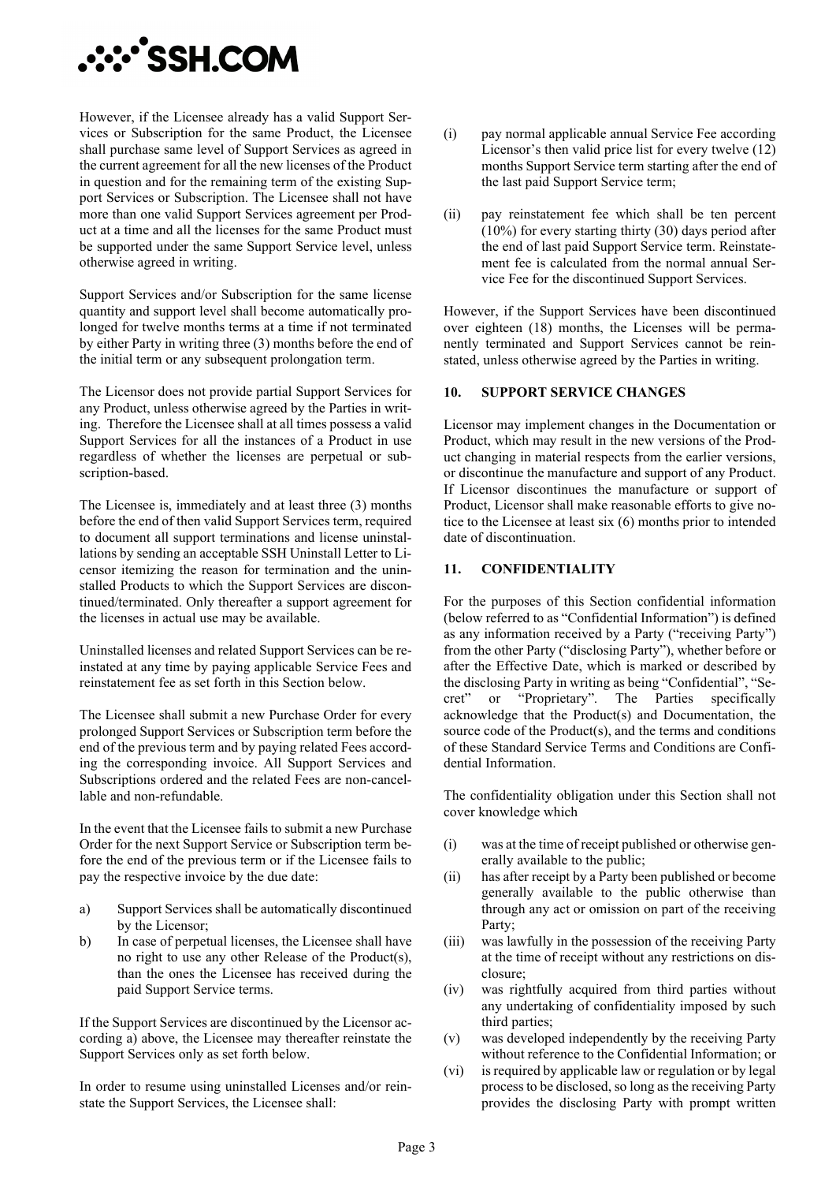

However, if the Licensee already has a valid Support Services or Subscription for the same Product, the Licensee shall purchase same level of Support Services as agreed in the current agreement for all the new licenses of the Product in question and for the remaining term of the existing Support Services or Subscription. The Licensee shall not have more than one valid Support Services agreement per Product at a time and all the licenses for the same Product must be supported under the same Support Service level, unless otherwise agreed in writing.

Support Services and/or Subscription for the same license quantity and support level shall become automatically prolonged for twelve months terms at a time if not terminated by either Party in writing three (3) months before the end of the initial term or any subsequent prolongation term.

The Licensor does not provide partial Support Services for any Product, unless otherwise agreed by the Parties in writing. Therefore the Licensee shall at all times possess a valid Support Services for all the instances of a Product in use regardless of whether the licenses are perpetual or subscription-based.

The Licensee is, immediately and at least three (3) months before the end of then valid Support Services term, required to document all support terminations and license uninstallations by sending an acceptable SSH Uninstall Letter to Licensor itemizing the reason for termination and the uninstalled Products to which the Support Services are discontinued/terminated. Only thereafter a support agreement for the licenses in actual use may be available.

Uninstalled licenses and related Support Services can be reinstated at any time by paying applicable Service Fees and reinstatement fee as set forth in this Section below.

The Licensee shall submit a new Purchase Order for every prolonged Support Services or Subscription term before the end of the previous term and by paying related Fees according the corresponding invoice. All Support Services and Subscriptions ordered and the related Fees are non-cancellable and non-refundable.

In the event that the Licensee fails to submit a new Purchase Order for the next Support Service or Subscription term before the end of the previous term or if the Licensee fails to pay the respective invoice by the due date:

- a) Support Services shall be automatically discontinued by the Licensor;
- b) In case of perpetual licenses, the Licensee shall have no right to use any other Release of the Product(s), than the ones the Licensee has received during the paid Support Service terms.

If the Support Services are discontinued by the Licensor according a) above, the Licensee may thereafter reinstate the Support Services only as set forth below.

In order to resume using uninstalled Licenses and/or reinstate the Support Services, the Licensee shall:

- (i) pay normal applicable annual Service Fee according Licensor's then valid price list for every twelve (12) months Support Service term starting after the end of the last paid Support Service term;
- (ii) pay reinstatement fee which shall be ten percent (10%) for every starting thirty (30) days period after the end of last paid Support Service term. Reinstatement fee is calculated from the normal annual Service Fee for the discontinued Support Services.

However, if the Support Services have been discontinued over eighteen (18) months, the Licenses will be permanently terminated and Support Services cannot be reinstated, unless otherwise agreed by the Parties in writing.

#### **10. SUPPORT SERVICE CHANGES**

Licensor may implement changes in the Documentation or Product, which may result in the new versions of the Product changing in material respects from the earlier versions, or discontinue the manufacture and support of any Product. If Licensor discontinues the manufacture or support of Product, Licensor shall make reasonable efforts to give notice to the Licensee at least six (6) months prior to intended date of discontinuation.

#### **11. CONFIDENTIALITY**

For the purposes of this Section confidential information (below referred to as "Confidential Information") is defined as any information received by a Party ("receiving Party") from the other Party ("disclosing Party"), whether before or after the Effective Date, which is marked or described by the disclosing Party in writing as being "Confidential", "Secret" or "Proprietary". The Parties specifically acknowledge that the Product(s) and Documentation, the source code of the Product(s), and the terms and conditions of these Standard Service Terms and Conditions are Confidential Information.

The confidentiality obligation under this Section shall not cover knowledge which

- (i) was at the time of receipt published or otherwise generally available to the public;
- (ii) has after receipt by a Party been published or become generally available to the public otherwise than through any act or omission on part of the receiving Party;
- (iii) was lawfully in the possession of the receiving Party at the time of receipt without any restrictions on disclosure;
- (iv) was rightfully acquired from third parties without any undertaking of confidentiality imposed by such third parties;
- (v) was developed independently by the receiving Party without reference to the Confidential Information; or
- (vi) is required by applicable law or regulation or by legal process to be disclosed, so long as the receiving Party provides the disclosing Party with prompt written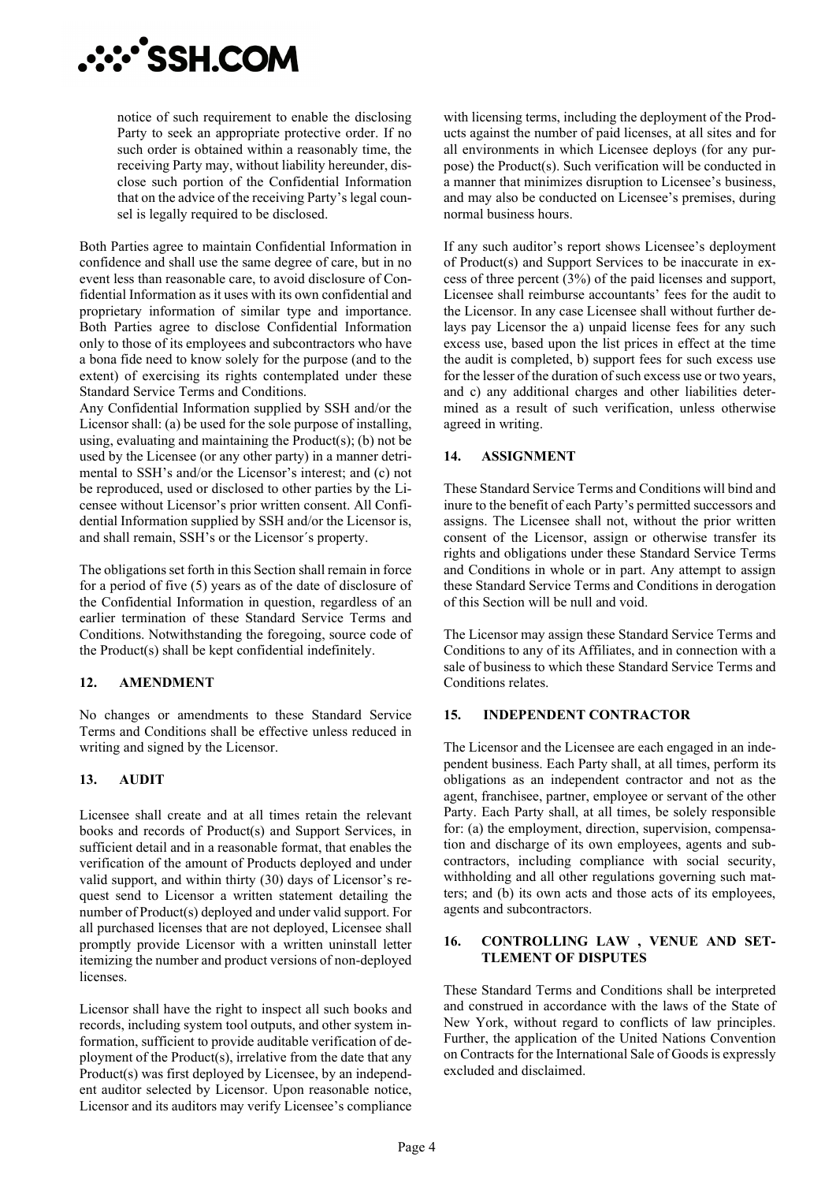

notice of such requirement to enable the disclosing Party to seek an appropriate protective order. If no such order is obtained within a reasonably time, the receiving Party may, without liability hereunder, disclose such portion of the Confidential Information that on the advice of the receiving Party's legal counsel is legally required to be disclosed.

Both Parties agree to maintain Confidential Information in confidence and shall use the same degree of care, but in no event less than reasonable care, to avoid disclosure of Confidential Information as it uses with its own confidential and proprietary information of similar type and importance. Both Parties agree to disclose Confidential Information only to those of its employees and subcontractors who have a bona fide need to know solely for the purpose (and to the extent) of exercising its rights contemplated under these Standard Service Terms and Conditions.

Any Confidential Information supplied by SSH and/or the Licensor shall: (a) be used for the sole purpose of installing, using, evaluating and maintaining the Product(s); (b) not be used by the Licensee (or any other party) in a manner detrimental to SSH's and/or the Licensor's interest; and (c) not be reproduced, used or disclosed to other parties by the Licensee without Licensor's prior written consent. All Confidential Information supplied by SSH and/or the Licensor is, and shall remain, SSH's or the Licensor´s property.

The obligations set forth in this Section shall remain in force for a period of five (5) years as of the date of disclosure of the Confidential Information in question, regardless of an earlier termination of these Standard Service Terms and Conditions. Notwithstanding the foregoing, source code of the Product(s) shall be kept confidential indefinitely.

#### **12. AMENDMENT**

No changes or amendments to these Standard Service Terms and Conditions shall be effective unless reduced in writing and signed by the Licensor.

#### **13. AUDIT**

Licensee shall create and at all times retain the relevant books and records of Product(s) and Support Services, in sufficient detail and in a reasonable format, that enables the verification of the amount of Products deployed and under valid support, and within thirty (30) days of Licensor's request send to Licensor a written statement detailing the number of Product(s) deployed and under valid support. For all purchased licenses that are not deployed, Licensee shall promptly provide Licensor with a written uninstall letter itemizing the number and product versions of non-deployed licenses.

Licensor shall have the right to inspect all such books and records, including system tool outputs, and other system information, sufficient to provide auditable verification of deployment of the Product(s), irrelative from the date that any Product(s) was first deployed by Licensee, by an independent auditor selected by Licensor. Upon reasonable notice, Licensor and its auditors may verify Licensee's compliance with licensing terms, including the deployment of the Products against the number of paid licenses, at all sites and for all environments in which Licensee deploys (for any purpose) the Product(s). Such verification will be conducted in a manner that minimizes disruption to Licensee's business, and may also be conducted on Licensee's premises, during normal business hours.

If any such auditor's report shows Licensee's deployment of Product(s) and Support Services to be inaccurate in excess of three percent (3%) of the paid licenses and support, Licensee shall reimburse accountants' fees for the audit to the Licensor. In any case Licensee shall without further delays pay Licensor the a) unpaid license fees for any such excess use, based upon the list prices in effect at the time the audit is completed, b) support fees for such excess use for the lesser of the duration of such excess use or two years, and c) any additional charges and other liabilities determined as a result of such verification, unless otherwise agreed in writing.

## **14. ASSIGNMENT**

These Standard Service Terms and Conditions will bind and inure to the benefit of each Party's permitted successors and assigns. The Licensee shall not, without the prior written consent of the Licensor, assign or otherwise transfer its rights and obligations under these Standard Service Terms and Conditions in whole or in part. Any attempt to assign these Standard Service Terms and Conditions in derogation of this Section will be null and void.

The Licensor may assign these Standard Service Terms and Conditions to any of its Affiliates, and in connection with a sale of business to which these Standard Service Terms and Conditions relates.

#### **15. INDEPENDENT CONTRACTOR**

The Licensor and the Licensee are each engaged in an independent business. Each Party shall, at all times, perform its obligations as an independent contractor and not as the agent, franchisee, partner, employee or servant of the other Party. Each Party shall, at all times, be solely responsible for: (a) the employment, direction, supervision, compensation and discharge of its own employees, agents and subcontractors, including compliance with social security, withholding and all other regulations governing such matters; and (b) its own acts and those acts of its employees, agents and subcontractors.

#### **16. CONTROLLING LAW , VENUE AND SET-TLEMENT OF DISPUTES**

These Standard Terms and Conditions shall be interpreted and construed in accordance with the laws of the State of New York, without regard to conflicts of law principles. Further, the application of the United Nations Convention on Contracts for the International Sale of Goods is expressly excluded and disclaimed.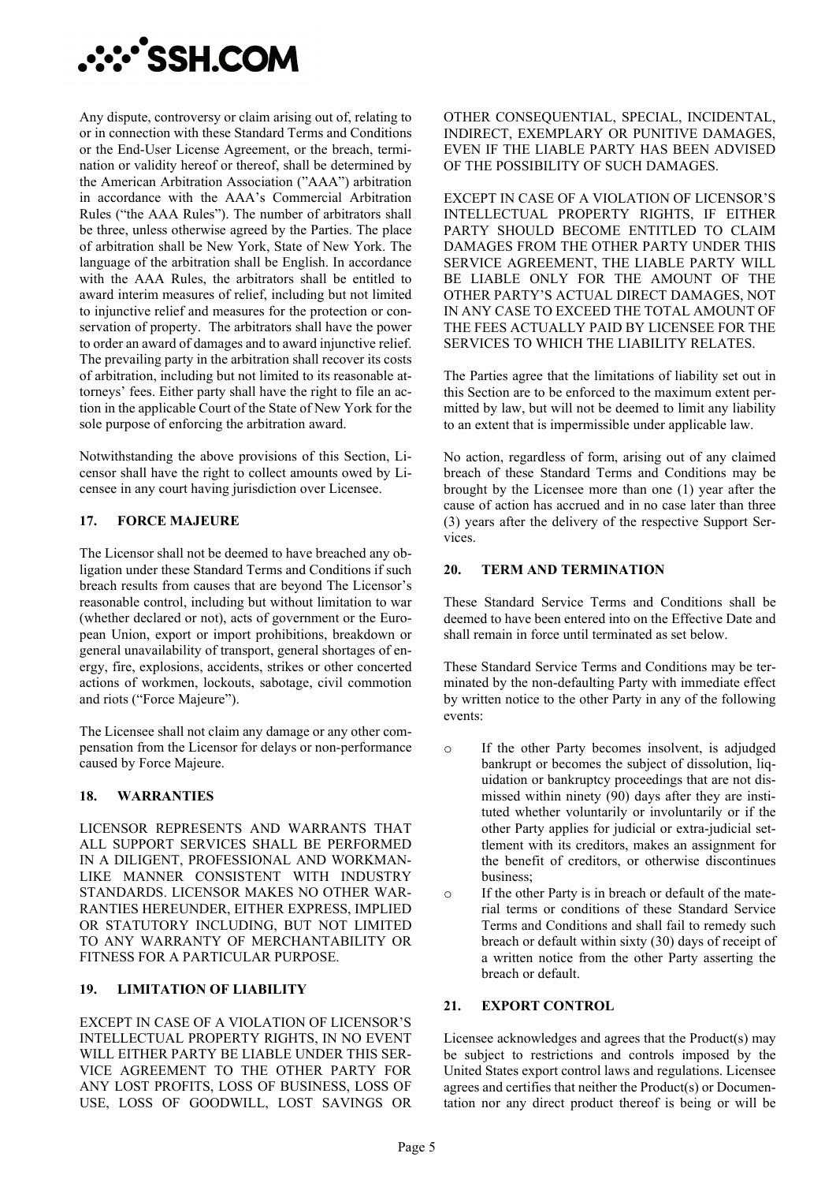

Any dispute, controversy or claim arising out of, relating to or in connection with these Standard Terms and Conditions or the End-User License Agreement, or the breach, termination or validity hereof or thereof, shall be determined by the American Arbitration Association ("AAA") arbitration in accordance with the AAA's Commercial Arbitration Rules ("the AAA Rules"). The number of arbitrators shall be three, unless otherwise agreed by the Parties. The place of arbitration shall be New York, State of New York. The language of the arbitration shall be English. In accordance with the AAA Rules, the arbitrators shall be entitled to award interim measures of relief, including but not limited to injunctive relief and measures for the protection or conservation of property. The arbitrators shall have the power to order an award of damages and to award injunctive relief. The prevailing party in the arbitration shall recover its costs of arbitration, including but not limited to its reasonable attorneys' fees. Either party shall have the right to file an action in the applicable Court of the State of New York for the sole purpose of enforcing the arbitration award.

Notwithstanding the above provisions of this Section, Licensor shall have the right to collect amounts owed by Licensee in any court having jurisdiction over Licensee.

## **17. FORCE MAJEURE**

The Licensor shall not be deemed to have breached any obligation under these Standard Terms and Conditions if such breach results from causes that are beyond The Licensor's reasonable control, including but without limitation to war (whether declared or not), acts of government or the European Union, export or import prohibitions, breakdown or general unavailability of transport, general shortages of energy, fire, explosions, accidents, strikes or other concerted actions of workmen, lockouts, sabotage, civil commotion and riots ("Force Majeure").

The Licensee shall not claim any damage or any other compensation from the Licensor for delays or non-performance caused by Force Majeure.

#### **18. WARRANTIES**

LICENSOR REPRESENTS AND WARRANTS THAT ALL SUPPORT SERVICES SHALL BE PERFORMED IN A DILIGENT, PROFESSIONAL AND WORKMAN-LIKE MANNER CONSISTENT WITH INDUSTRY STANDARDS. LICENSOR MAKES NO OTHER WAR-RANTIES HEREUNDER, EITHER EXPRESS, IMPLIED OR STATUTORY INCLUDING, BUT NOT LIMITED TO ANY WARRANTY OF MERCHANTABILITY OR FITNESS FOR A PARTICULAR PURPOSE.

# **19. LIMITATION OF LIABILITY**

EXCEPT IN CASE OF A VIOLATION OF LICENSOR'S INTELLECTUAL PROPERTY RIGHTS, IN NO EVENT WILL EITHER PARTY BE LIABLE UNDER THIS SER-VICE AGREEMENT TO THE OTHER PARTY FOR ANY LOST PROFITS, LOSS OF BUSINESS, LOSS OF USE, LOSS OF GOODWILL, LOST SAVINGS OR OTHER CONSEQUENTIAL, SPECIAL, INCIDENTAL, INDIRECT, EXEMPLARY OR PUNITIVE DAMAGES, EVEN IF THE LIABLE PARTY HAS BEEN ADVISED OF THE POSSIBILITY OF SUCH DAMAGES.

EXCEPT IN CASE OF A VIOLATION OF LICENSOR'S INTELLECTUAL PROPERTY RIGHTS, IF EITHER PARTY SHOULD BECOME ENTITLED TO CLAIM DAMAGES FROM THE OTHER PARTY UNDER THIS SERVICE AGREEMENT, THE LIABLE PARTY WILL BE LIABLE ONLY FOR THE AMOUNT OF THE OTHER PARTY'S ACTUAL DIRECT DAMAGES, NOT IN ANY CASE TO EXCEED THE TOTAL AMOUNT OF THE FEES ACTUALLY PAID BY LICENSEE FOR THE SERVICES TO WHICH THE LIABILITY RELATES.

The Parties agree that the limitations of liability set out in this Section are to be enforced to the maximum extent permitted by law, but will not be deemed to limit any liability to an extent that is impermissible under applicable law.

No action, regardless of form, arising out of any claimed breach of these Standard Terms and Conditions may be brought by the Licensee more than one (1) year after the cause of action has accrued and in no case later than three (3) years after the delivery of the respective Support Services.

## **20. TERM AND TERMINATION**

These Standard Service Terms and Conditions shall be deemed to have been entered into on the Effective Date and shall remain in force until terminated as set below.

These Standard Service Terms and Conditions may be terminated by the non-defaulting Party with immediate effect by written notice to the other Party in any of the following events:

- o If the other Party becomes insolvent, is adjudged bankrupt or becomes the subject of dissolution, liquidation or bankruptcy proceedings that are not dismissed within ninety (90) days after they are instituted whether voluntarily or involuntarily or if the other Party applies for judicial or extra-judicial settlement with its creditors, makes an assignment for the benefit of creditors, or otherwise discontinues business;
- o If the other Party is in breach or default of the material terms or conditions of these Standard Service Terms and Conditions and shall fail to remedy such breach or default within sixty (30) days of receipt of a written notice from the other Party asserting the breach or default.

#### **21. EXPORT CONTROL**

Licensee acknowledges and agrees that the Product(s) may be subject to restrictions and controls imposed by the United States export control laws and regulations. Licensee agrees and certifies that neither the Product(s) or Documentation nor any direct product thereof is being or will be